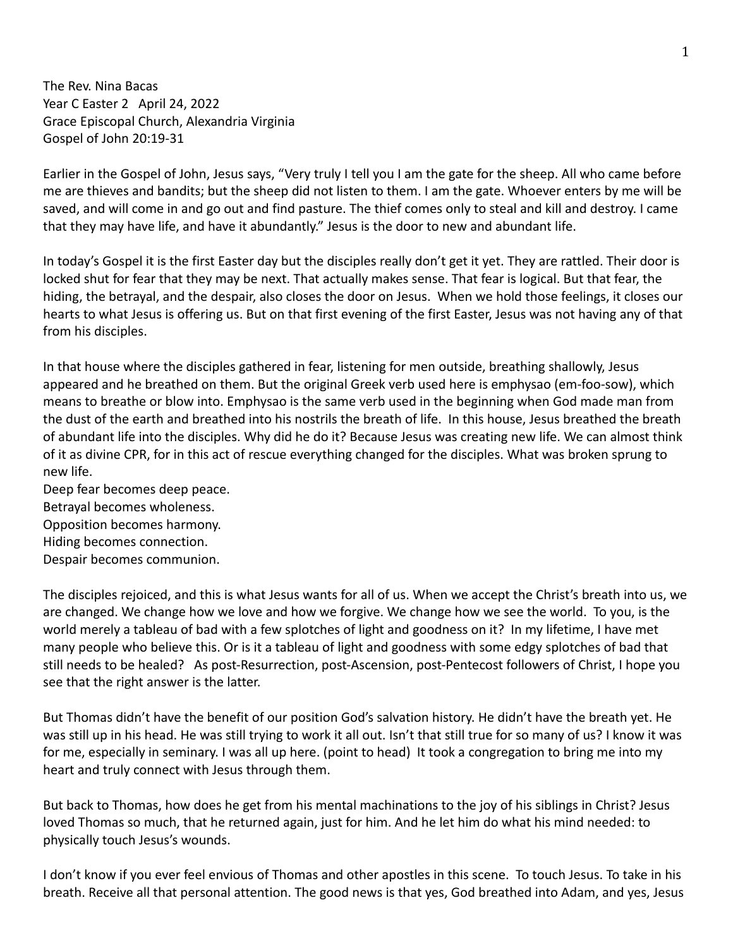The Rev. Nina Bacas Year C Easter 2 April 24, 2022 Grace Episcopal Church, Alexandria Virginia Gospel of John 20:19-31

Earlier in the Gospel of John, Jesus says, "Very truly I tell you I am the gate for the sheep. All who came before me are thieves and bandits; but the sheep did not listen to them. I am the gate. Whoever enters by me will be saved, and will come in and go out and find pasture. The thief comes only to steal and kill and destroy. I came that they may have life, and have it abundantly." Jesus is the door to new and abundant life.

In today's Gospel it is the first Easter day but the disciples really don't get it yet. They are rattled. Their door is locked shut for fear that they may be next. That actually makes sense. That fear is logical. But that fear, the hiding, the betrayal, and the despair, also closes the door on Jesus. When we hold those feelings, it closes our hearts to what Jesus is offering us. But on that first evening of the first Easter, Jesus was not having any of that from his disciples.

In that house where the disciples gathered in fear, listening for men outside, breathing shallowly, Jesus appeared and he breathed on them. But the original Greek verb used here is emphysao (em-foo-sow), which means to breathe or blow into. Emphysao is the same verb used in the beginning when God made man from the dust of the earth and breathed into his nostrils the breath of life. In this house, Jesus breathed the breath of abundant life into the disciples. Why did he do it? Because Jesus was creating new life. We can almost think of it as divine CPR, for in this act of rescue everything changed for the disciples. What was broken sprung to new life.

Deep fear becomes deep peace. Betrayal becomes wholeness. Opposition becomes harmony. Hiding becomes connection. Despair becomes communion.

The disciples rejoiced, and this is what Jesus wants for all of us. When we accept the Christ's breath into us, we are changed. We change how we love and how we forgive. We change how we see the world. To you, is the world merely a tableau of bad with a few splotches of light and goodness on it? In my lifetime, I have met many people who believe this. Or is it a tableau of light and goodness with some edgy splotches of bad that still needs to be healed? As post-Resurrection, post-Ascension, post-Pentecost followers of Christ, I hope you see that the right answer is the latter.

But Thomas didn't have the benefit of our position God's salvation history. He didn't have the breath yet. He was still up in his head. He was still trying to work it all out. Isn't that still true for so many of us? I know it was for me, especially in seminary. I was all up here. (point to head) It took a congregation to bring me into my heart and truly connect with Jesus through them.

But back to Thomas, how does he get from his mental machinations to the joy of his siblings in Christ? Jesus loved Thomas so much, that he returned again, just for him. And he let him do what his mind needed: to physically touch Jesus's wounds.

I don't know if you ever feel envious of Thomas and other apostles in this scene. To touch Jesus. To take in his breath. Receive all that personal attention. The good news is that yes, God breathed into Adam, and yes, Jesus